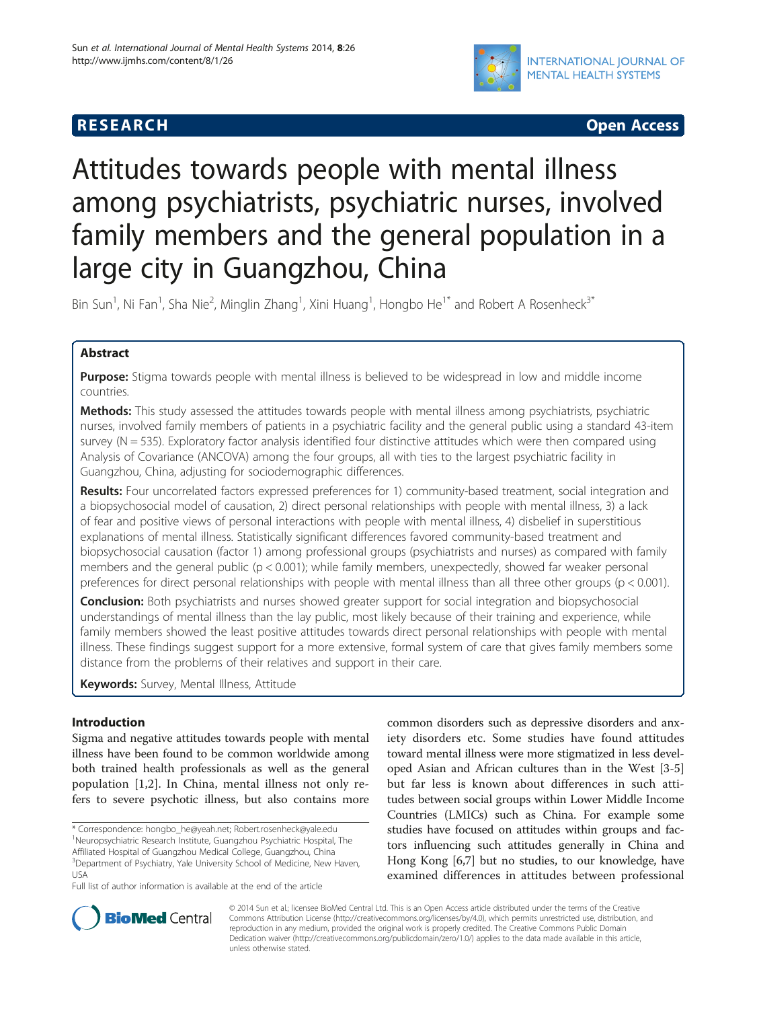## **INTERNATIONAL IOURNAL OF MENTAL HEALTH SYSTEMS**

**RESEARCH CHINESE ARCH CHINESE ARCH CHINESE ARCH <b>CHINESE ARCH** 

# Attitudes towards people with mental illness among psychiatrists, psychiatric nurses, involved family members and the general population in a large city in Guangzhou, China

Bin Sun<sup>1</sup>, Ni Fan<sup>1</sup>, Sha Nie<sup>2</sup>, Minglin Zhang<sup>1</sup>, Xini Huang<sup>1</sup>, Hongbo He<sup>1\*</sup> and Robert A Rosenheck<sup>3\*</sup>

### Abstract

**Purpose:** Stigma towards people with mental illness is believed to be widespread in low and middle income countries.

Methods: This study assessed the attitudes towards people with mental illness among psychiatrists, psychiatric nurses, involved family members of patients in a psychiatric facility and the general public using a standard 43-item survey (N = 535). Exploratory factor analysis identified four distinctive attitudes which were then compared using Analysis of Covariance (ANCOVA) among the four groups, all with ties to the largest psychiatric facility in Guangzhou, China, adjusting for sociodemographic differences.

Results: Four uncorrelated factors expressed preferences for 1) community-based treatment, social integration and a biopsychosocial model of causation, 2) direct personal relationships with people with mental illness, 3) a lack of fear and positive views of personal interactions with people with mental illness, 4) disbelief in superstitious explanations of mental illness. Statistically significant differences favored community-based treatment and biopsychosocial causation (factor 1) among professional groups (psychiatrists and nurses) as compared with family members and the general public (p < 0.001); while family members, unexpectedly, showed far weaker personal preferences for direct personal relationships with people with mental illness than all three other groups (p < 0.001).

Conclusion: Both psychiatrists and nurses showed greater support for social integration and biopsychosocial understandings of mental illness than the lay public, most likely because of their training and experience, while family members showed the least positive attitudes towards direct personal relationships with people with mental illness. These findings suggest support for a more extensive, formal system of care that gives family members some distance from the problems of their relatives and support in their care.

Keywords: Survey, Mental Illness, Attitude

#### Introduction

Sigma and negative attitudes towards people with mental illness have been found to be common worldwide among both trained health professionals as well as the general population [\[1,2](#page-6-0)]. In China, mental illness not only refers to severe psychotic illness, but also contains more

common disorders such as depressive disorders and anxiety disorders etc. Some studies have found attitudes toward mental illness were more stigmatized in less developed Asian and African cultures than in the West [\[3](#page-6-0)-[5](#page-6-0)] but far less is known about differences in such attitudes between social groups within Lower Middle Income Countries (LMICs) such as China. For example some studies have focused on attitudes within groups and factors influencing such attitudes generally in China and Hong Kong [\[6,7\]](#page-6-0) but no studies, to our knowledge, have examined differences in attitudes between professional



© 2014 Sun et al.; licensee BioMed Central Ltd. This is an Open Access article distributed under the terms of the Creative Commons Attribution License [\(http://creativecommons.org/licenses/by/4.0\)](http://creativecommons.org/licenses/by/4.0), which permits unrestricted use, distribution, and reproduction in any medium, provided the original work is properly credited. The Creative Commons Public Domain Dedication waiver [\(http://creativecommons.org/publicdomain/zero/1.0/](http://creativecommons.org/publicdomain/zero/1.0/)) applies to the data made available in this article, unless otherwise stated.

<sup>\*</sup> Correspondence: [hongbo\\_he@yeah.net;](mailto:hongbo_he@yeah.net) [Robert.rosenheck@yale.edu](mailto:Robert.rosenheck@yale.edu) <sup>1</sup> <sup>1</sup>Neuropsychiatric Research Institute, Guangzhou Psychiatric Hospital, The Affiliated Hospital of Guangzhou Medical College, Guangzhou, China <sup>3</sup>Department of Psychiatry, Yale University School of Medicine, New Haven, USA

Full list of author information is available at the end of the article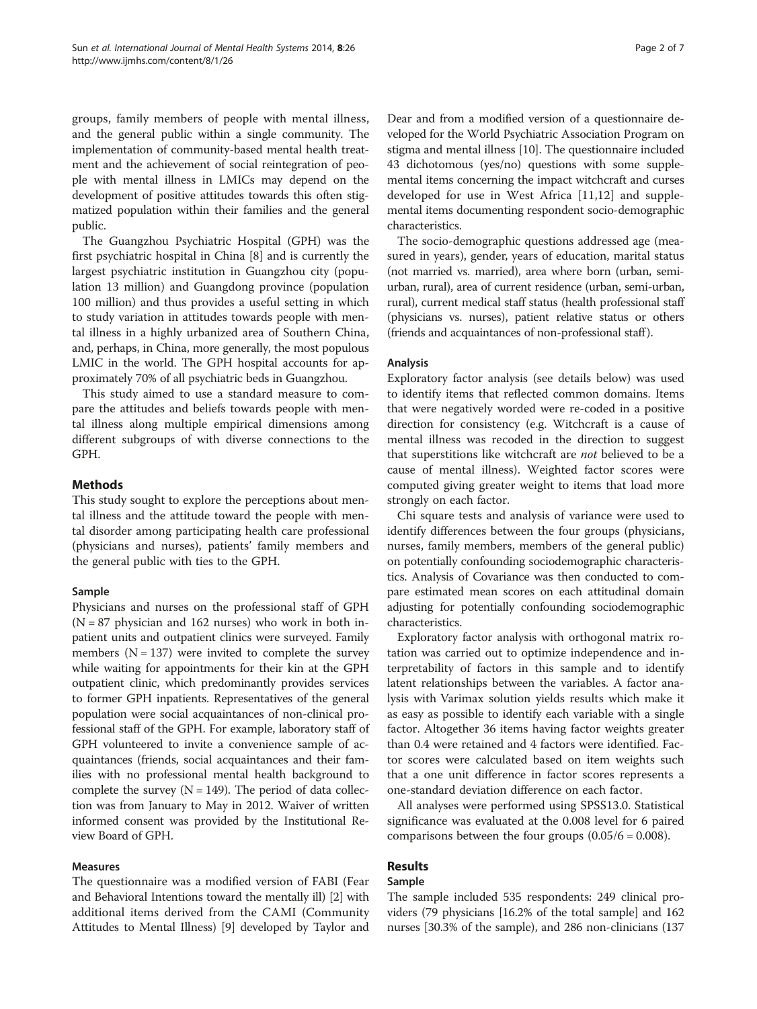groups, family members of people with mental illness, and the general public within a single community. The implementation of community-based mental health treatment and the achievement of social reintegration of people with mental illness in LMICs may depend on the development of positive attitudes towards this often stigmatized population within their families and the general public.

The Guangzhou Psychiatric Hospital (GPH) was the first psychiatric hospital in China [\[8](#page-6-0)] and is currently the largest psychiatric institution in Guangzhou city (population 13 million) and Guangdong province (population 100 million) and thus provides a useful setting in which to study variation in attitudes towards people with mental illness in a highly urbanized area of Southern China, and, perhaps, in China, more generally, the most populous LMIC in the world. The GPH hospital accounts for approximately 70% of all psychiatric beds in Guangzhou.

This study aimed to use a standard measure to compare the attitudes and beliefs towards people with mental illness along multiple empirical dimensions among different subgroups of with diverse connections to the GPH.

#### Methods

This study sought to explore the perceptions about mental illness and the attitude toward the people with mental disorder among participating health care professional (physicians and nurses), patients' family members and the general public with ties to the GPH.

#### Sample

Physicians and nurses on the professional staff of GPH  $(N = 87)$  physician and 162 nurses) who work in both inpatient units and outpatient clinics were surveyed. Family members  $(N = 137)$  were invited to complete the survey while waiting for appointments for their kin at the GPH outpatient clinic, which predominantly provides services to former GPH inpatients. Representatives of the general population were social acquaintances of non-clinical professional staff of the GPH. For example, laboratory staff of GPH volunteered to invite a convenience sample of acquaintances (friends, social acquaintances and their families with no professional mental health background to complete the survey  $(N = 149)$ . The period of data collection was from January to May in 2012. Waiver of written informed consent was provided by the Institutional Review Board of GPH.

#### Measures

The questionnaire was a modified version of FABI (Fear and Behavioral Intentions toward the mentally ill) [\[2](#page-6-0)] with additional items derived from the CAMI (Community Attitudes to Mental Illness) [\[9](#page-6-0)] developed by Taylor and Dear and from a modified version of a questionnaire developed for the World Psychiatric Association Program on stigma and mental illness [\[10](#page-6-0)]. The questionnaire included 43 dichotomous (yes/no) questions with some supplemental items concerning the impact witchcraft and curses developed for use in West Africa [[11,12](#page-6-0)] and supplemental items documenting respondent socio-demographic characteristics.

The socio-demographic questions addressed age (measured in years), gender, years of education, marital status (not married vs. married), area where born (urban, semiurban, rural), area of current residence (urban, semi-urban, rural), current medical staff status (health professional staff (physicians vs. nurses), patient relative status or others (friends and acquaintances of non-professional staff ).

#### Analysis

Exploratory factor analysis (see details below) was used to identify items that reflected common domains. Items that were negatively worded were re-coded in a positive direction for consistency (e.g. Witchcraft is a cause of mental illness was recoded in the direction to suggest that superstitions like witchcraft are not believed to be a cause of mental illness). Weighted factor scores were computed giving greater weight to items that load more strongly on each factor.

Chi square tests and analysis of variance were used to identify differences between the four groups (physicians, nurses, family members, members of the general public) on potentially confounding sociodemographic characteristics. Analysis of Covariance was then conducted to compare estimated mean scores on each attitudinal domain adjusting for potentially confounding sociodemographic characteristics.

Exploratory factor analysis with orthogonal matrix rotation was carried out to optimize independence and interpretability of factors in this sample and to identify latent relationships between the variables. A factor analysis with Varimax solution yields results which make it as easy as possible to identify each variable with a single factor. Altogether 36 items having factor weights greater than 0.4 were retained and 4 factors were identified. Factor scores were calculated based on item weights such that a one unit difference in factor scores represents a one-standard deviation difference on each factor.

All analyses were performed using SPSS13.0. Statistical significance was evaluated at the 0.008 level for 6 paired comparisons between the four groups  $(0.05/6 = 0.008)$ .

#### Results

#### Sample

The sample included 535 respondents: 249 clinical providers (79 physicians [16.2% of the total sample] and 162 nurses [30.3% of the sample), and 286 non-clinicians (137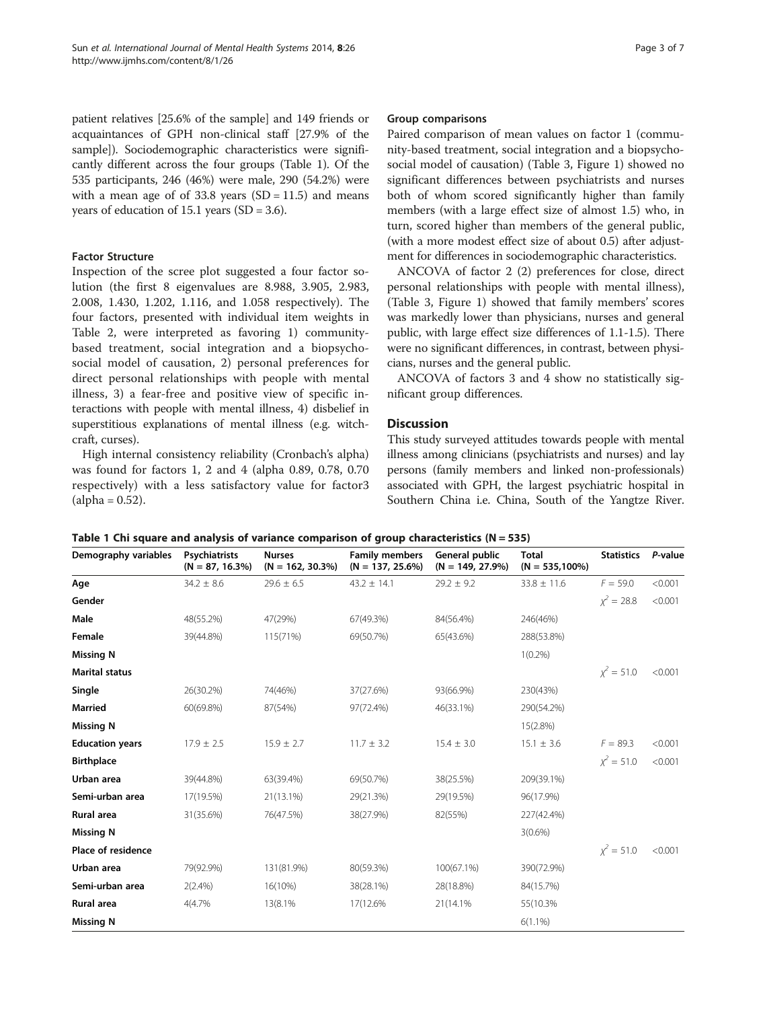patient relatives [25.6% of the sample] and 149 friends or acquaintances of GPH non-clinical staff [27.9% of the sample]). Sociodemographic characteristics were significantly different across the four groups (Table 1). Of the 535 participants, 246 (46%) were male, 290 (54.2%) were with a mean age of of  $33.8$  years  $(SD = 11.5)$  and means years of education of  $15.1$  years (SD = 3.6).

#### Factor Structure

Inspection of the scree plot suggested a four factor solution (the first 8 eigenvalues are 8.988, 3.905, 2.983, 2.008, 1.430, 1.202, 1.116, and 1.058 respectively). The four factors, presented with individual item weights in Table [2](#page-3-0), were interpreted as favoring 1) communitybased treatment, social integration and a biopsychosocial model of causation, 2) personal preferences for direct personal relationships with people with mental illness, 3) a fear-free and positive view of specific interactions with people with mental illness, 4) disbelief in superstitious explanations of mental illness (e.g. witchcraft, curses).

High internal consistency reliability (Cronbach's alpha) was found for factors 1, 2 and 4 (alpha 0.89, 0.78, 0.70 respectively) with a less satisfactory value for factor3  $(alpha = 0.52).$ 

#### Group comparisons

Paired comparison of mean values on factor 1 (community-based treatment, social integration and a biopsychosocial model of causation) (Table [3,](#page-4-0) Figure [1\)](#page-4-0) showed no significant differences between psychiatrists and nurses both of whom scored significantly higher than family members (with a large effect size of almost 1.5) who, in turn, scored higher than members of the general public, (with a more modest effect size of about 0.5) after adjustment for differences in sociodemographic characteristics.

ANCOVA of factor 2 (2) preferences for close, direct personal relationships with people with mental illness), (Table [3,](#page-4-0) Figure [1\)](#page-4-0) showed that family members' scores was markedly lower than physicians, nurses and general public, with large effect size differences of 1.1-1.5). There were no significant differences, in contrast, between physicians, nurses and the general public.

ANCOVA of factors 3 and 4 show no statistically significant group differences.

#### **Discussion**

This study surveyed attitudes towards people with mental illness among clinicians (psychiatrists and nurses) and lay persons (family members and linked non-professionals) associated with GPH, the largest psychiatric hospital in Southern China i.e. China, South of the Yangtze River.

| Demography variables   | <b>Psychiatrists</b><br>$(N = 87, 16.3\%)$ | <b>Nurses</b><br>$(N = 162, 30.3\%)$ | <b>Family members</b><br>$(N = 137, 25.6\%)$ | General public<br>$(N = 149, 27.9\%)$ | <b>Total</b><br>$(N = 535, 100\%)$ | <b>Statistics</b> | P-value |
|------------------------|--------------------------------------------|--------------------------------------|----------------------------------------------|---------------------------------------|------------------------------------|-------------------|---------|
| Age                    | $34.2 \pm 8.6$                             | $29.6 \pm 6.5$                       | $43.2 \pm 14.1$                              | $29.2 \pm 9.2$                        | $33.8 \pm 11.6$                    | $F = 59.0$        | < 0.001 |
| Gender                 |                                            |                                      |                                              |                                       |                                    | $x^2 = 28.8$      | < 0.001 |
| Male                   | 48(55.2%)                                  | 47(29%)                              | 67(49.3%)                                    | 84(56.4%)                             | 246(46%)                           |                   |         |
| Female                 | 39(44.8%)                                  | 115(71%)                             | 69(50.7%)                                    | 65(43.6%)                             | 288(53.8%)                         |                   |         |
| <b>Missing N</b>       |                                            |                                      |                                              |                                       | $1(0.2\%)$                         |                   |         |
| <b>Marital status</b>  |                                            |                                      |                                              |                                       |                                    | $\chi^2 = 51.0$   | < 0.001 |
| Single                 | 26(30.2%)                                  | 74(46%)                              | 37(27.6%)                                    | 93(66.9%)                             | 230(43%)                           |                   |         |
| <b>Married</b>         | 60(69.8%)                                  | 87(54%)                              | 97(72.4%)                                    | 46(33.1%)                             | 290(54.2%)                         |                   |         |
| <b>Missing N</b>       |                                            |                                      |                                              |                                       | 15(2.8%)                           |                   |         |
| <b>Education years</b> | $17.9 \pm 2.5$                             | $15.9 \pm 2.7$                       | $11.7 \pm 3.2$                               | $15.4 \pm 3.0$                        | $15.1 \pm 3.6$                     | $F = 89.3$        | < 0.001 |
| <b>Birthplace</b>      |                                            |                                      |                                              |                                       |                                    | $\chi^2 = 51.0$   | < 0.001 |
| Urban area             | 39(44.8%)                                  | 63(39.4%)                            | 69(50.7%)                                    | 38(25.5%)                             | 209(39.1%)                         |                   |         |
| Semi-urban area        | 17(19.5%)                                  | 21(13.1%)                            | 29(21.3%)                                    | 29(19.5%)                             | 96(17.9%)                          |                   |         |
| Rural area             | 31(35.6%)                                  | 76(47.5%)                            | 38(27.9%)                                    | 82(55%)                               | 227(42.4%)                         |                   |         |
| <b>Missing N</b>       |                                            |                                      |                                              |                                       | $3(0.6\%)$                         |                   |         |
| Place of residence     |                                            |                                      |                                              |                                       |                                    | $x^2 = 51.0$      | < 0.001 |
| Urban area             | 79(92.9%)                                  | 131(81.9%)                           | 80(59.3%)                                    | 100(67.1%)                            | 390(72.9%)                         |                   |         |
| Semi-urban area        | 2(2.4%)                                    | 16(10%)                              | 38(28.1%)                                    | 28(18.8%)                             | 84(15.7%)                          |                   |         |
| <b>Rural</b> area      | 4(4.7%                                     | 13(8.1%                              | 17(12.6%                                     | 21(14.1%)                             | 55(10.3%)                          |                   |         |
| <b>Missing N</b>       |                                            |                                      |                                              |                                       | $6(1.1\%)$                         |                   |         |

Table 1 Chi square and analysis of variance comparison of group characteristics ( $N = 535$ )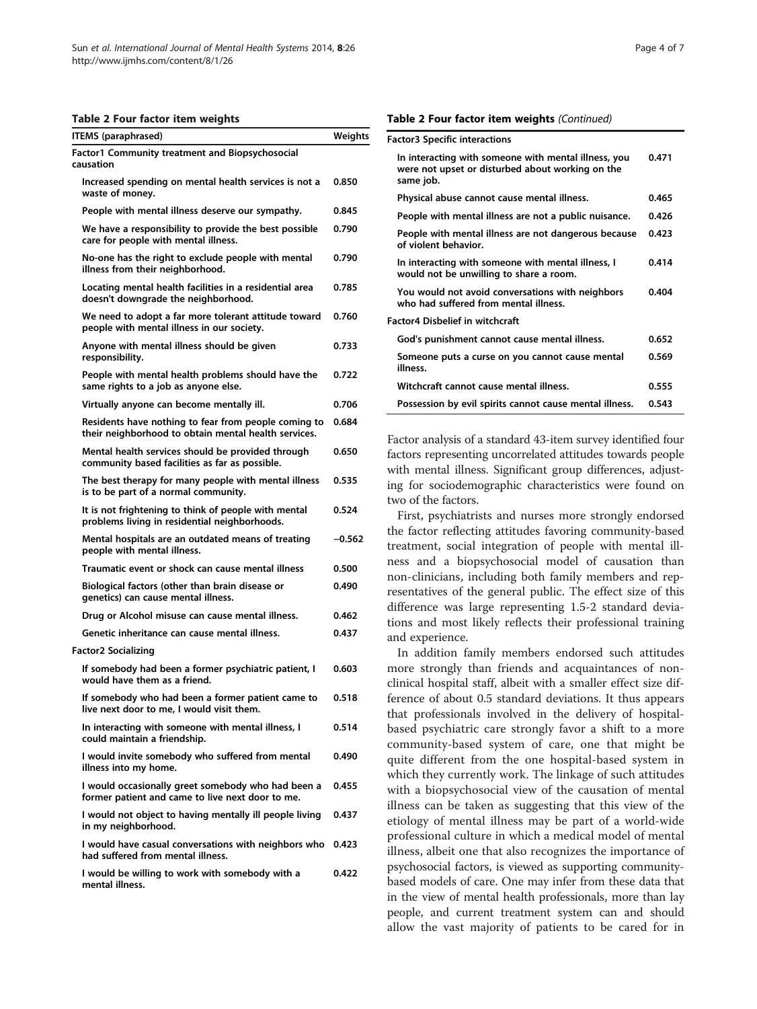#### <span id="page-3-0"></span>Table 2 Four factor item weights

| <b>ITEMS (paraphrased)</b>                                                                                   | Weights  |
|--------------------------------------------------------------------------------------------------------------|----------|
| <b>Factor1 Community treatment and Biopsychosocial</b><br>causation                                          |          |
| Increased spending on mental health services is not a<br>waste of money.                                     | 0.850    |
| People with mental illness deserve our sympathy.                                                             | 0.845    |
| We have a responsibility to provide the best possible<br>care for people with mental illness.                | 0.790    |
| No-one has the right to exclude people with mental<br>illness from their neighborhood.                       | 0.790    |
| Locating mental health facilities in a residential area<br>doesn't downgrade the neighborhood.               | 0.785    |
| We need to adopt a far more tolerant attitude toward<br>people with mental illness in our society.           | 0.760    |
| Anyone with mental illness should be given<br>responsibility.                                                | 0.733    |
| People with mental health problems should have the<br>same rights to a job as anyone else.                   | 0.722    |
| Virtually anyone can become mentally ill.                                                                    | 0.706    |
| Residents have nothing to fear from people coming to<br>their neighborhood to obtain mental health services. | 0.684    |
| Mental health services should be provided through<br>community based facilities as far as possible.          | 0.650    |
| The best therapy for many people with mental illness<br>is to be part of a normal community.                 | 0.535    |
| It is not frightening to think of people with mental<br>problems living in residential neighborhoods.        | 0.524    |
| Mental hospitals are an outdated means of treating<br>people with mental illness.                            | $-0.562$ |
| Traumatic event or shock can cause mental illness                                                            | 0.500    |
| Biological factors (other than brain disease or<br>genetics) can cause mental illness.                       | 0.490    |
| Drug or Alcohol misuse can cause mental illness.                                                             | 0.462    |
| Genetic inheritance can cause mental illness.                                                                | 0.437    |
| Factor2 Socializing                                                                                          |          |
| If somebody had been a former psychiatric patient, I<br>would have them as a friend.                         | 0.603    |
| If somebody who had been a former patient came to<br>live next door to me, I would visit them.               | 0.518    |
| In interacting with someone with mental illness, I<br>could maintain a friendship.                           | 0.514    |
| I would invite somebody who suffered from mental<br>illness into my home.                                    | 0.490    |
| I would occasionally greet somebody who had been a<br>former patient and came to live next door to me.       | 0.455    |
| I would not object to having mentally ill people living<br>in my neighborhood.                               | 0.437    |
| I would have casual conversations with neighbors who<br>had suffered from mental illness.                    | 0.423    |
| I would be willing to work with somebody with a<br>mental illness.                                           | 0.422    |
|                                                                                                              |          |

#### Table 2 Four factor item weights (Continued)

| <b>Factor3 Specific interactions</b>                                                                                  |       |
|-----------------------------------------------------------------------------------------------------------------------|-------|
| In interacting with someone with mental illness, you<br>were not upset or disturbed about working on the<br>same job. | 0.471 |
| Physical abuse cannot cause mental illness.                                                                           | 0.465 |
| People with mental illness are not a public nuisance.                                                                 | 0.426 |
| People with mental illness are not dangerous because<br>of violent behavior.                                          | 0.423 |
| In interacting with someone with mental illness, I<br>would not be unwilling to share a room.                         | 0.414 |
| You would not avoid conversations with neighbors<br>who had suffered from mental illness.                             | 0.404 |
| <b>Factor4 Disbelief in witchcraft</b>                                                                                |       |
| God's punishment cannot cause mental illness.                                                                         | 0.652 |
| Someone puts a curse on you cannot cause mental<br>illness.                                                           | 0.569 |
| Witchcraft cannot cause mental illness.                                                                               | 0.555 |
| Possession by evil spirits cannot cause mental illness.                                                               | 0.543 |

Factor analysis of a standard 43-item survey identified four factors representing uncorrelated attitudes towards people with mental illness. Significant group differences, adjusting for sociodemographic characteristics were found on two of the factors.

First, psychiatrists and nurses more strongly endorsed the factor reflecting attitudes favoring community-based treatment, social integration of people with mental illness and a biopsychosocial model of causation than non-clinicians, including both family members and representatives of the general public. The effect size of this difference was large representing 1.5-2 standard deviations and most likely reflects their professional training and experience.

In addition family members endorsed such attitudes more strongly than friends and acquaintances of nonclinical hospital staff, albeit with a smaller effect size difference of about 0.5 standard deviations. It thus appears that professionals involved in the delivery of hospitalbased psychiatric care strongly favor a shift to a more community-based system of care, one that might be quite different from the one hospital-based system in which they currently work. The linkage of such attitudes with a biopsychosocial view of the causation of mental illness can be taken as suggesting that this view of the etiology of mental illness may be part of a world-wide professional culture in which a medical model of mental illness, albeit one that also recognizes the importance of psychosocial factors, is viewed as supporting communitybased models of care. One may infer from these data that in the view of mental health professionals, more than lay people, and current treatment system can and should allow the vast majority of patients to be cared for in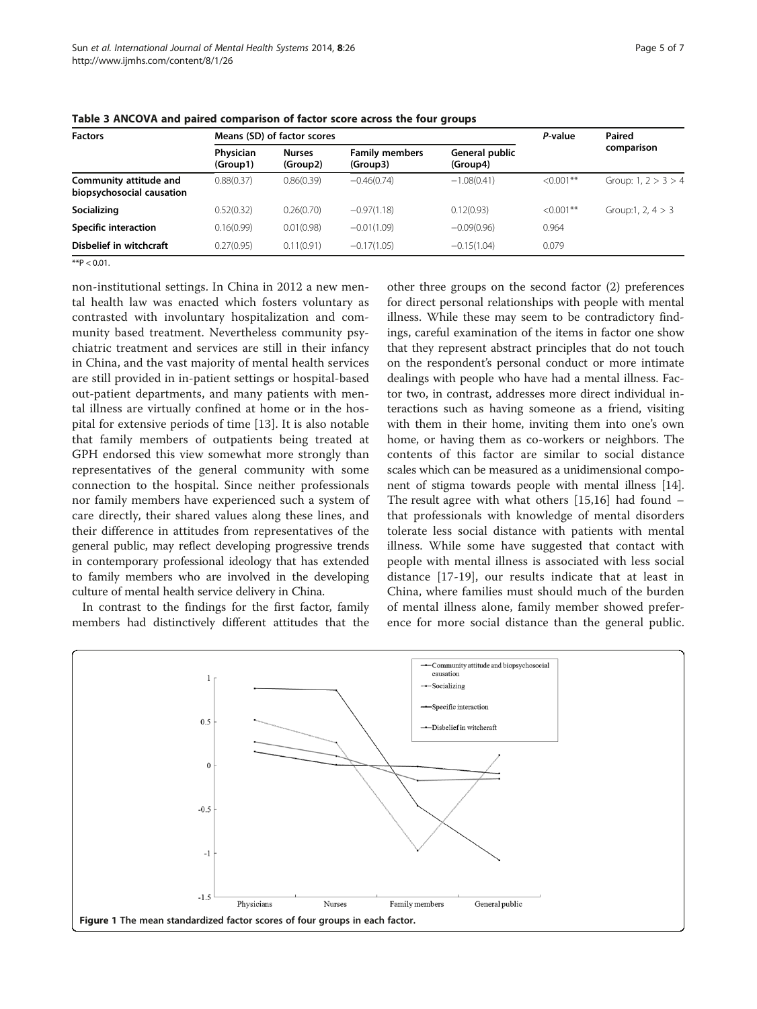| <b>Factors</b>                                      | Means (SD) of factor scores |                           |                                   |                            |              | Paired                |  |
|-----------------------------------------------------|-----------------------------|---------------------------|-----------------------------------|----------------------------|--------------|-----------------------|--|
|                                                     | Physician<br>(Group1)       | <b>Nurses</b><br>(Group2) | <b>Family members</b><br>(Group3) | General public<br>(Group4) |              | comparison            |  |
| Community attitude and<br>biopsychosocial causation | 0.88(0.37)                  | 0.86(0.39)                | $-0.46(0.74)$                     | $-1.08(0.41)$              | $< 0.001$ ** | Group: $1, 2 > 3 > 4$ |  |
| Socializing                                         | 0.52(0.32)                  | 0.26(0.70)                | $-0.97(1.18)$                     | 0.12(0.93)                 | $< 0.001$ ** | Group:1, 2, $4 > 3$   |  |
| <b>Specific interaction</b>                         | 0.16(0.99)                  | 0.01(0.98)                | $-0.01(1.09)$                     | $-0.09(0.96)$              | 0.964        |                       |  |
| Disbelief in witchcraft                             | 0.27(0.95)                  | 0.11(0.91)                | $-0.17(1.05)$                     | $-0.15(1.04)$              | 0.079        |                       |  |

<span id="page-4-0"></span>Table 3 ANCOVA and paired comparison of factor score across the four groups

 $*$ <sup>\*</sup>P < 0.01

non-institutional settings. In China in 2012 a new mental health law was enacted which fosters voluntary as contrasted with involuntary hospitalization and community based treatment. Nevertheless community psychiatric treatment and services are still in their infancy in China, and the vast majority of mental health services are still provided in in-patient settings or hospital-based out-patient departments, and many patients with mental illness are virtually confined at home or in the hospital for extensive periods of time [\[13](#page-6-0)]. It is also notable that family members of outpatients being treated at GPH endorsed this view somewhat more strongly than representatives of the general community with some connection to the hospital. Since neither professionals nor family members have experienced such a system of care directly, their shared values along these lines, and their difference in attitudes from representatives of the general public, may reflect developing progressive trends in contemporary professional ideology that has extended to family members who are involved in the developing culture of mental health service delivery in China.

In contrast to the findings for the first factor, family members had distinctively different attitudes that the

other three groups on the second factor (2) preferences for direct personal relationships with people with mental illness. While these may seem to be contradictory findings, careful examination of the items in factor one show that they represent abstract principles that do not touch on the respondent's personal conduct or more intimate dealings with people who have had a mental illness. Factor two, in contrast, addresses more direct individual interactions such as having someone as a friend, visiting with them in their home, inviting them into one's own home, or having them as co-workers or neighbors. The contents of this factor are similar to social distance scales which can be measured as a unidimensional component of stigma towards people with mental illness [[14](#page-6-0)]. The result agree with what others [[15,16](#page-6-0)] had found – that professionals with knowledge of mental disorders tolerate less social distance with patients with mental illness. While some have suggested that contact with people with mental illness is associated with less social distance [\[17](#page-6-0)-[19\]](#page-6-0), our results indicate that at least in China, where families must should much of the burden of mental illness alone, family member showed preference for more social distance than the general public.

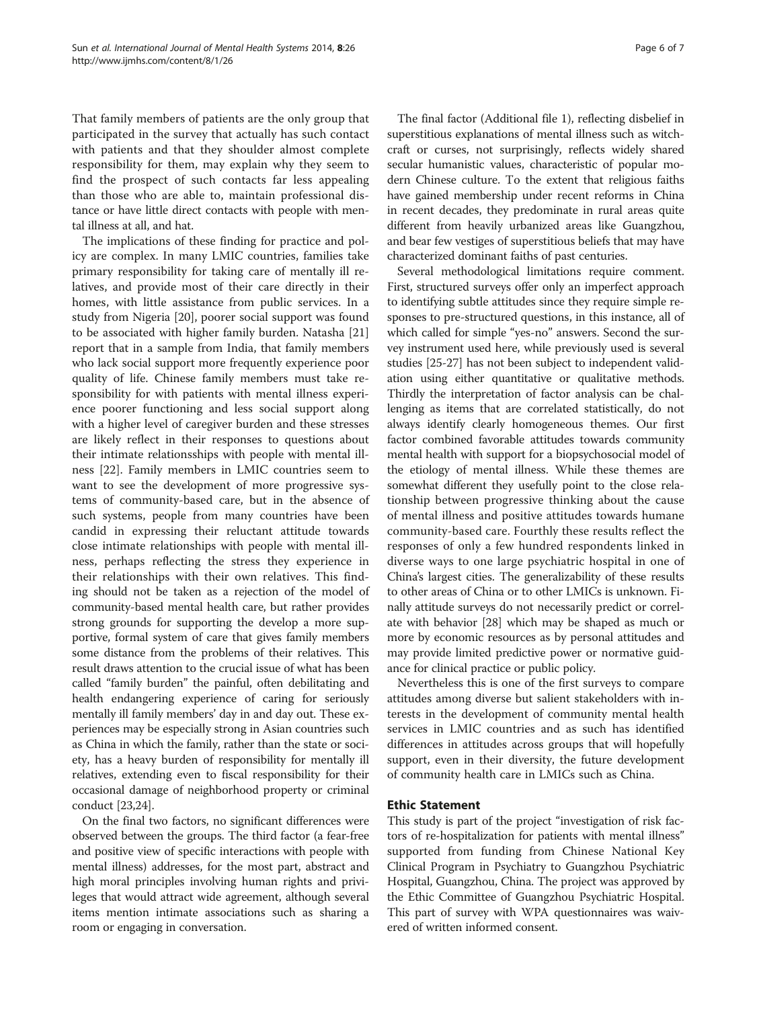That family members of patients are the only group that participated in the survey that actually has such contact with patients and that they shoulder almost complete responsibility for them, may explain why they seem to find the prospect of such contacts far less appealing than those who are able to, maintain professional distance or have little direct contacts with people with mental illness at all, and hat.

The implications of these finding for practice and policy are complex. In many LMIC countries, families take primary responsibility for taking care of mentally ill relatives, and provide most of their care directly in their homes, with little assistance from public services. In a study from Nigeria [\[20\]](#page-6-0), poorer social support was found to be associated with higher family burden. Natasha [[21](#page-6-0)] report that in a sample from India, that family members who lack social support more frequently experience poor quality of life. Chinese family members must take responsibility for with patients with mental illness experience poorer functioning and less social support along with a higher level of caregiver burden and these stresses are likely reflect in their responses to questions about their intimate relationsships with people with mental illness [\[22](#page-6-0)]. Family members in LMIC countries seem to want to see the development of more progressive systems of community-based care, but in the absence of such systems, people from many countries have been candid in expressing their reluctant attitude towards close intimate relationships with people with mental illness, perhaps reflecting the stress they experience in their relationships with their own relatives. This finding should not be taken as a rejection of the model of community-based mental health care, but rather provides strong grounds for supporting the develop a more supportive, formal system of care that gives family members some distance from the problems of their relatives. This result draws attention to the crucial issue of what has been called "family burden" the painful, often debilitating and health endangering experience of caring for seriously mentally ill family members' day in and day out. These experiences may be especially strong in Asian countries such as China in which the family, rather than the state or society, has a heavy burden of responsibility for mentally ill relatives, extending even to fiscal responsibility for their occasional damage of neighborhood property or criminal conduct [[23](#page-6-0),[24](#page-6-0)].

On the final two factors, no significant differences were observed between the groups. The third factor (a fear-free and positive view of specific interactions with people with mental illness) addresses, for the most part, abstract and high moral principles involving human rights and privileges that would attract wide agreement, although several items mention intimate associations such as sharing a room or engaging in conversation.

The final factor (Additional file [1](#page-6-0)), reflecting disbelief in superstitious explanations of mental illness such as witchcraft or curses, not surprisingly, reflects widely shared secular humanistic values, characteristic of popular modern Chinese culture. To the extent that religious faiths have gained membership under recent reforms in China in recent decades, they predominate in rural areas quite different from heavily urbanized areas like Guangzhou, and bear few vestiges of superstitious beliefs that may have characterized dominant faiths of past centuries.

Several methodological limitations require comment. First, structured surveys offer only an imperfect approach to identifying subtle attitudes since they require simple responses to pre-structured questions, in this instance, all of which called for simple "yes-no" answers. Second the survey instrument used here, while previously used is several studies [\[25-27](#page-6-0)] has not been subject to independent validation using either quantitative or qualitative methods. Thirdly the interpretation of factor analysis can be challenging as items that are correlated statistically, do not always identify clearly homogeneous themes. Our first factor combined favorable attitudes towards community mental health with support for a biopsychosocial model of the etiology of mental illness. While these themes are somewhat different they usefully point to the close relationship between progressive thinking about the cause of mental illness and positive attitudes towards humane community-based care. Fourthly these results reflect the responses of only a few hundred respondents linked in diverse ways to one large psychiatric hospital in one of China's largest cities. The generalizability of these results to other areas of China or to other LMICs is unknown. Finally attitude surveys do not necessarily predict or correlate with behavior [\[28](#page-6-0)] which may be shaped as much or more by economic resources as by personal attitudes and may provide limited predictive power or normative guidance for clinical practice or public policy.

Nevertheless this is one of the first surveys to compare attitudes among diverse but salient stakeholders with interests in the development of community mental health services in LMIC countries and as such has identified differences in attitudes across groups that will hopefully support, even in their diversity, the future development of community health care in LMICs such as China.

#### Ethic Statement

This study is part of the project "investigation of risk factors of re-hospitalization for patients with mental illness" supported from funding from Chinese National Key Clinical Program in Psychiatry to Guangzhou Psychiatric Hospital, Guangzhou, China. The project was approved by the Ethic Committee of Guangzhou Psychiatric Hospital. This part of survey with WPA questionnaires was waivered of written informed consent.